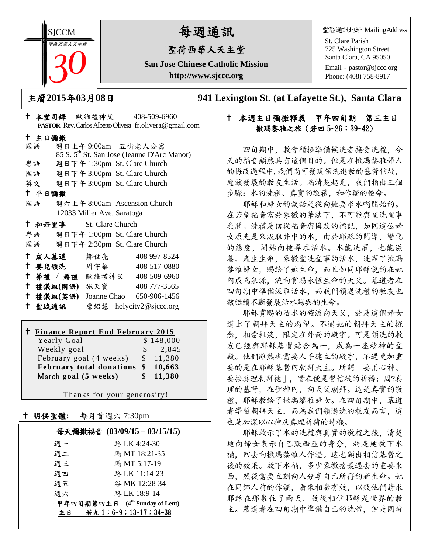**SICCM** 聖荷西華人天主堂

# 每週通訊

## 聖荷西華人天主堂

**San Jose Chinese Catholic Mission http://www.sjccc.org**

堂區通訊地址 MailingAddress

St. Clare Parish 725 Washington Street Santa Clara, CA 95050

Email: [pastor@sjccc.org](mailto:pastor@sjccc.org) Phone: (408) 758-8917

主曆**2015**年**03**月**08**日 **941 Lexington St. (at Lafayette St.), Santa Clara** 

### 本週主日彌撒釋義 甲年四旬期 第三主日 撒瑪黎雅之旅 (若四 5~26;39~42)

 四旬期中,教會積極準備候洗者接受洗禮,今 天的福音顯然具有這個目的。但是在撒瑪黎雅婦人 的悔改過程中,我們尚可發現領洗進教的基督信徒, 應該發展的教友生活。為清楚起見,我們指出三個 步驟:水的洗禮、真實的敬禮,和作證的使命。

 耶穌和婦女的談話是從向她要求水喝開始的。 在若望福音富於象徵的筆法下,不可能與聖洗聖事 無關。洗禮是信從福音與悔改的標記,如同這位婦 女原先是來汲取井中的水,由於耶穌的開導,變化 的態度,開始向祂尋求活水。水能洗濯,也能滋 養、產生生命,象徵聖洗聖事的活水,洗濯了撒瑪 黎雅婦女,賜給了她生命,而且如同耶穌說的在她 內成為泉源,流向賞賜永恆生命的天父。慕道者在 四旬期中準備汲取活水,而我們領過洗禮的教友也 該繼續不斷發展活水賜與的生命。

 耶穌賞賜的活水的確流向天父,於是這個婦女 道出了朝拜天主的渴望。不過她的朝拜天主的概 念,相當粗淺,限定在外面的殿宇。可是領洗的教 友已經與耶穌基督結合為一,成為一座精神的聖 殿。他們雖然也需要人手建立的殿宇,不過更加重 要的是在耶穌基督內朝拜天主。所謂「要用心神、 要按真理朝拜祂」,實在便是督信徒的祈禱:因?真 理的基督,在聖神內,向天父朝拜。這是真實的敬 禮,耶穌教給了撒瑪黎雅婦女。在四旬期中,慕道 者學習朝拜天主,而為我們領過洗的教友而言,這 也是加深以心神及真理祈禱的時機。

 耶穌啟示了水的洗禮與真實的敬禮之後,清楚 地向婦女表示自己默西亞的身分,於是她放下水 桶,回去向撒瑪黎雅人作證。這也顯出相信基督之 後的效果。放下水桶,多少象徵捨棄過去的重要東 西,然後需要立刻向人分享自己所得的新生命。她 在同鄉人前的作證,看來相當有效,以致他們請求 耶穌在那裏住了兩天,最後相信耶穌是世界的教 主。慕道者在四旬期中準備自己的洗禮,但是同時

|        |    |                         |                            |  | PASTOR Rev. Carlos Alberto Olivera fr.olivera@gmail.com |  |  |  |
|--------|----|-------------------------|----------------------------|--|---------------------------------------------------------|--|--|--|
| 十 主日彌撒 |    |                         |                            |  |                                                         |  |  |  |
|        | 國語 |                         |                            |  | 週日上午9:00am 五街老人公寓                                       |  |  |  |
|        |    |                         |                            |  | 85 S. 5 <sup>th</sup> St. San Jose (Jeanne D'Arc Manor) |  |  |  |
|        | 粤語 |                         |                            |  | 週日下午 1:30pm St. Clare Church                            |  |  |  |
|        |    |                         |                            |  | 國語 週日下午 3:00pm St. Clare Church                         |  |  |  |
|        |    |                         |                            |  | 英文 週日下午 3:00pm St. Clare Church                         |  |  |  |
| 十 平日彌撒 |    |                         |                            |  |                                                         |  |  |  |
|        | 國語 |                         |                            |  | 週六上午 8:00am Ascension Church                            |  |  |  |
|        |    |                         | 12033 Miller Ave. Saratoga |  |                                                         |  |  |  |
|        |    | † 和好聖事 St. Clare Church |                            |  |                                                         |  |  |  |
|        |    |                         |                            |  | 粤語 週日下午 1:00pm St. Clare Church                         |  |  |  |
|        |    |                         |                            |  | 國語 週日下午 2:30pm St. Clare Church                         |  |  |  |
|        |    | + 成人慕道                  | 鄒世亮                        |  | 408 997-8524                                            |  |  |  |
|        |    | ← 嬰兒領洗──周守華             |                            |  | 408-517-0880                                            |  |  |  |
|        |    |                         |                            |  | † 葬禮 / 婚禮 歐維禮神父 408-509-6960                            |  |  |  |
|        |    | 十 禮儀組(國語) 施天寶           |                            |  | 408 777-3565                                            |  |  |  |
|        |    | 十 禮儀組(英語)               |                            |  | Joanne Chao 650-906-1456                                |  |  |  |
|        |    | 十 聖城通訊                  |                            |  | 詹紹慧 holycity2@sjccc.org                                 |  |  |  |

十 本堂司鐸 歐維禮神父 408-509-6960

#### **Finance Report End February 2015**  $V$ early  $G$ oal

| r carry Obar                       | $V$ iveve           |
|------------------------------------|---------------------|
| Weekly goal                        | $\frac{1}{2}$ , 845 |
| February goal (4 weeks)            | \$11,380            |
| February total donations \$ 10,663 |                     |
| March goal (5 weeks)               | \$11,380            |

Thanks for your generosity!

| 明供聖體: | 每月首週六 7:30pm                     |
|-------|----------------------------------|
|       | 每天彌撒福音 (03/09/15-03/15/15)       |
| 週一    | 路 LK 4:24-30                     |
| 週二    | 瑪 MT 18:21-35                    |
| 週三    | 瑪 MT 5:17-19                     |
| 週四    | 路 LK 11:14-23                    |
| 週五    | 谷 MK 12:28-34                    |
| 週六    | 路 LK 18:9-14                     |
|       | 甲年四旬期第四主日 $(4th$ Sunday of Lent) |
| 主日    | 若九1;6~9;13~17;34~38              |
|       |                                  |